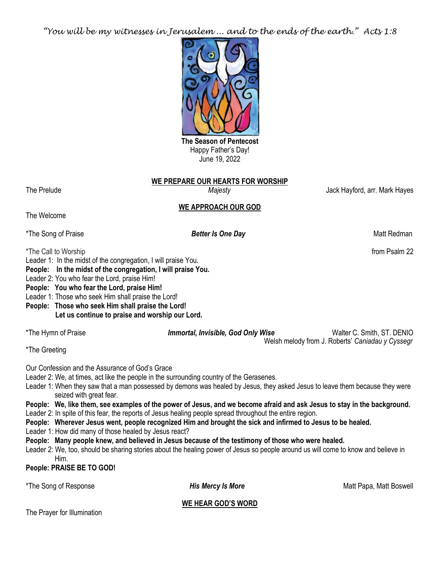*"You will be my witnesses in Jerusalem ... and to the ends of the earth." Acts 1:8*



Happy Father's Day! June 19, 2022

# **WE PREPARE OUR HEARTS FOR WORSHIP**

The Prelude *Majesty* Jack Hayford, arr. Mark Hayes

# **WE APPROACH OUR GOD**

The Welcome

\*The Song of Praise *Better Is One Day**Better Is One Day* **Matt Redman** 

\*The Call to Worship from Psalm 22 Leader 1: In the midst of the congregation, I will praise You.

**People: In the midst of the congregation, I will praise You.**

Leader 2: You who fear the Lord, praise Him!

**People: You who fear the Lord, praise Him!**

Leader 1: Those who seek Him shall praise the Lord!

**People: Those who seek Him shall praise the Lord! Let us continue to praise and worship our Lord.**

\*The Hymn of Praise *Immortal, Invisible, God Only Wise* Walter C. Smith, ST. DENIO Welsh melody from J. Roberts' *Caniadau y Cyssegr*

\*The Greeting

Our Confession and the Assurance of God's Grace

Leader 2: We, at times, act like the people in the surrounding country of the Gerasenes.

Leader 1: When they saw that a man possessed by demons was healed by Jesus, they asked Jesus to leave them because they were seized with great fear.

**People: We, like them, see examples of the power of Jesus, and we become afraid and ask Jesus to stay in the background.** Leader 2: In spite of this fear, the reports of Jesus healing people spread throughout the entire region.

**People: Wherever Jesus went, people recognized Him and brought the sick and infirmed to Jesus to be healed.**

Leader 1: How did many of those healed by Jesus react?

**People: Many people knew, and believed in Jesus because of the testimony of those who were healed.**

Leader 2: We, too, should be sharing stories about the healing power of Jesus so people around us will come to know and believe in Him.

**People: PRAISE BE TO GOD!**

\*The Song of Response *His Mercy Is More* **Matt Papa, Matt Boswell** 

**WE HEAR GOD'S WORD**

The Prayer for Illumination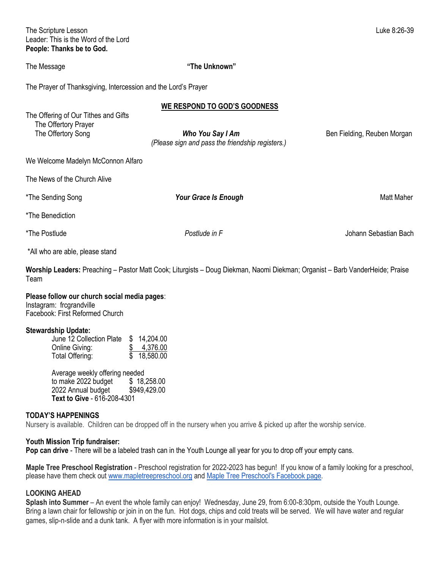The Scripture Lesson Luke 8:26-39 Leader: This is the Word of the Lord **People: Thanks be to God.**

### The Message **"The Unknown"**

The Prayer of Thanksgiving, Intercession and the Lord's Prayer

|                                                                                    | WE RESPOND TO GOD'S GOODNESS                                                                                   |                             |
|------------------------------------------------------------------------------------|----------------------------------------------------------------------------------------------------------------|-----------------------------|
| The Offering of Our Tithes and Gifts<br>The Offertory Prayer<br>The Offertory Song | Who You Say I Am<br>(Please sign and pass the friendship registers.)                                           | Ben Fielding, Reuben Morgan |
| We Welcome Madelyn McConnon Alfaro                                                 |                                                                                                                |                             |
| The News of the Church Alive                                                       |                                                                                                                |                             |
| *The Sending Song                                                                  | <b>Your Grace Is Enough</b>                                                                                    | Matt Maher                  |
| *The Benediction                                                                   |                                                                                                                |                             |
| *The Postlude                                                                      | Postlude in F                                                                                                  | Johann Sebastian Bach       |
| *All who are able, please stand                                                    |                                                                                                                |                             |
|                                                                                    | ים ויווניות ויום ויים יום יום יום ויום להתנועות מוזים ויום להתנועות ויום להתנועות ויום להתנועות המוזיקה להתנוע |                             |

**Worship Leaders:** Preaching – Pastor Matt Cook; Liturgists – Doug Diekman, Naomi Diekman; Organist – Barb VanderHeide; Praise Team

#### **Please follow our church social media pages**:

Instagram: frcgrandville Facebook: First Reformed Church

#### **Stewardship Update:**

| June 12 Collection Plate | \$14,204.00 |
|--------------------------|-------------|
| Online Giving:           | \$4,376.00  |
| Total Offering:          | \$18,580.00 |

Average weekly offering needed to make 2022 budget \$ 18,258.00 2022 Annual budget \$949,429.00 **Text to Give** - 616-208-4301

## **TODAY'S HAPPENINGS**

Nursery is available. Children can be dropped off in the nursery when you arrive & picked up after the worship service.

#### **Youth Mission Trip fundraiser:**

**Pop can drive** - There will be a labeled trash can in the Youth Lounge all year for you to drop off your empty cans.

**Maple Tree Preschool Registration** - Preschool registration for 2022-2023 has begun! If you know of a family looking for a preschool, please have them check out [www.mapletreepreschool.org](http://www.mapletreepreschool.org/) and [Maple Tree Preschool's](https://www.facebook.com/Maple-Tree-Preschool-107534002642706) Facebook page.

### **LOOKING AHEAD**

**Splash into Summer** – An event the whole family can enjoy! Wednesday, June 29, from 6:00-8:30pm, outside the Youth Lounge. Bring a lawn chair for fellowship or join in on the fun. Hot dogs, chips and cold treats will be served. We will have water and regular games, slip-n-slide and a dunk tank. A flyer with more information is in your mailslot.